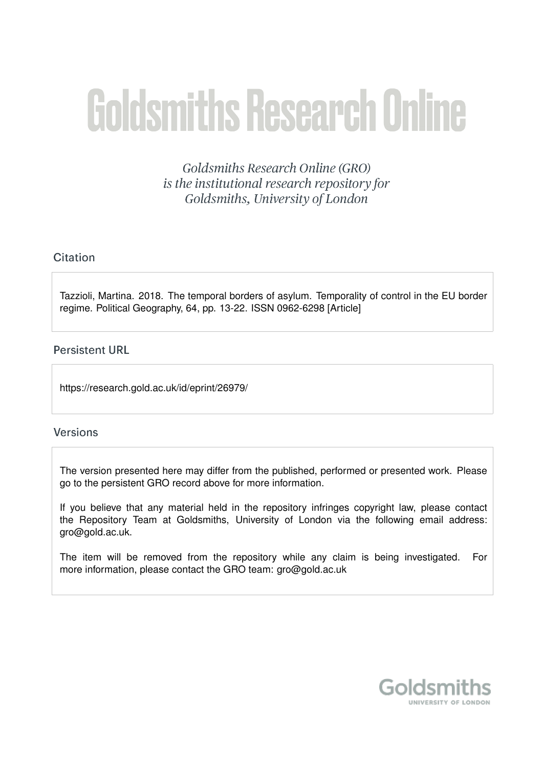# **Goldsmiths Research Online**

Goldsmiths Research Online (GRO) is the institutional research repository for Goldsmiths, University of London

### Citation

Tazzioli, Martina. 2018. The temporal borders of asylum. Temporality of control in the EU border regime. Political Geography, 64, pp. 13-22. ISSN 0962-6298 [Article]

#### **Persistent URL**

https://research.gold.ac.uk/id/eprint/26979/

#### **Versions**

The version presented here may differ from the published, performed or presented work. Please go to the persistent GRO record above for more information.

If you believe that any material held in the repository infringes copyright law, please contact the Repository Team at Goldsmiths, University of London via the following email address: gro@gold.ac.uk.

The item will be removed from the repository while any claim is being investigated. For more information, please contact the GRO team: gro@gold.ac.uk

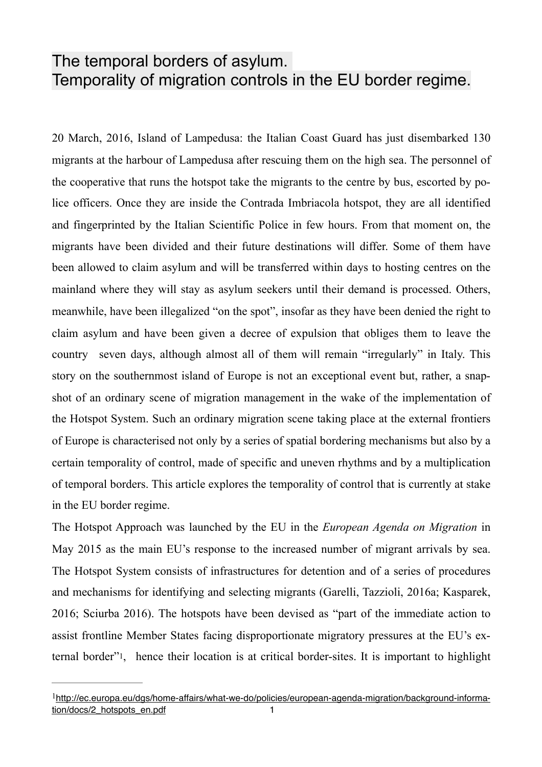# The temporal borders of asylum. Temporality of migration controls in the EU border regime.

20 March, 2016, Island of Lampedusa: the Italian Coast Guard has just disembarked 130 migrants at the harbour of Lampedusa after rescuing them on the high sea. The personnel of the cooperative that runs the hotspot take the migrants to the centre by bus, escorted by police officers. Once they are inside the Contrada Imbriacola hotspot, they are all identified and fingerprinted by the Italian Scientific Police in few hours. From that moment on, the migrants have been divided and their future destinations will differ. Some of them have been allowed to claim asylum and will be transferred within days to hosting centres on the mainland where they will stay as asylum seekers until their demand is processed. Others, meanwhile, have been illegalized "on the spot", insofar as they have been denied the right to claim asylum and have been given a decree of expulsion that obliges them to leave the country seven days, although almost all of them will remain "irregularly" in Italy. This story on the southernmost island of Europe is not an exceptional event but, rather, a snapshot of an ordinary scene of migration management in the wake of the implementation of the Hotspot System. Such an ordinary migration scene taking place at the external frontiers of Europe is characterised not only by a series of spatial bordering mechanisms but also by a certain temporality of control, made of specific and uneven rhythms and by a multiplication of temporal borders. This article explores the temporality of control that is currently at stake in the EU border regime.

The Hotspot Approach was launched by the EU in the *European Agenda on Migration* in May 2015 as the main EU's response to the increased number of migrant arrivals by sea. The Hotspot System consists of infrastructures for detention and of a series of procedures and mechanisms for identifying and selecting migrants (Garelli, Tazzioli, 2016a; Kasparek, 2016; Sciurba 2016). The hotspots have been devised as "part of the immediate action to assist frontline Member States facing disproportionate migratory pressures at the EU's external border"[1](#page-1-0), hence their location is at critical border-sites. It is important to highlight

<span id="page-1-1"></span><span id="page-1-0"></span> $1$ [http://ec.europa.eu/dgs/home-affairs/what-we-do/policies/european-agenda-migration/background-informa](http://ec.europa.eu/dgs/home-affairs/what-we-do/policies/european-agenda-migration/background-information/docs/2_hotspots_en.pdf)[tion/docs/2\\_hotspots\\_en.pdf 1](http://ec.europa.eu/dgs/home-affairs/what-we-do/policies/european-agenda-migration/background-information/docs/2_hotspots_en.pdf)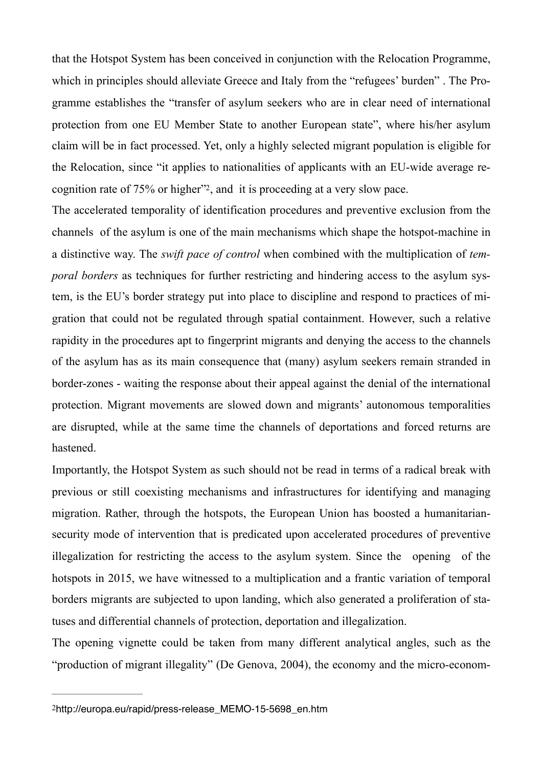that the Hotspot System has been conceived in conjunction with the Relocation Programme, which in principles should alleviate Greece and Italy from the "refugees' burden" . The Programme establishes the "transfer of asylum seekers who are in clear need of international protection from one EU Member State to another European state", where his/her asylum claim will be in fact processed. Yet, only a highly selected migrant population is eligible for the Relocation, since "it applies to nationalities of applicants with an EU-wide average recognition rate of  $75\%$  or higher<sup> $2$ </sup>, and it is proceeding at a very slow pace.

<span id="page-2-1"></span>The accelerated temporality of identification procedures and preventive exclusion from the channels of the asylum is one of the main mechanisms which shape the hotspot-machine in a distinctive way. The *swift pace of control* when combined with the multiplication of *temporal borders* as techniques for further restricting and hindering access to the asylum system, is the EU's border strategy put into place to discipline and respond to practices of migration that could not be regulated through spatial containment. However, such a relative rapidity in the procedures apt to fingerprint migrants and denying the access to the channels of the asylum has as its main consequence that (many) asylum seekers remain stranded in border-zones - waiting the response about their appeal against the denial of the international protection. Migrant movements are slowed down and migrants' autonomous temporalities are disrupted, while at the same time the channels of deportations and forced returns are hastened.

Importantly, the Hotspot System as such should not be read in terms of a radical break with previous or still coexisting mechanisms and infrastructures for identifying and managing migration. Rather, through the hotspots, the European Union has boosted a humanitariansecurity mode of intervention that is predicated upon accelerated procedures of preventive illegalization for restricting the access to the asylum system. Since the opening of the hotspots in 2015, we have witnessed to a multiplication and a frantic variation of temporal borders migrants are subjected to upon landing, which also generated a proliferation of statuses and differential channels of protection, deportation and illegalization.

The opening vignette could be taken from many different analytical angles, such as the "production of migrant illegality" (De Genova, 2004), the economy and the micro-econom-

<span id="page-2-0"></span>[<sup>2</sup>](#page-2-1)http://europa.eu/rapid/press-release\_MEMO-15-5698\_en.htm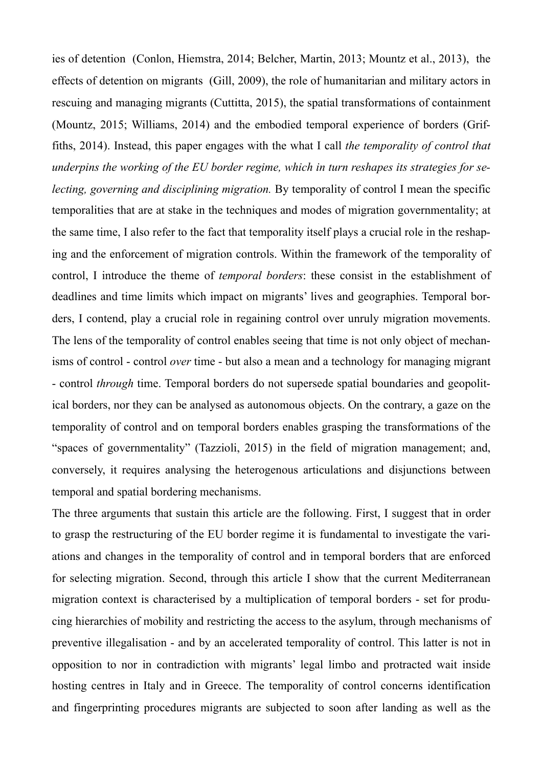ies of detention (Conlon, Hiemstra, 2014; Belcher, Martin, 2013; Mountz et al., 2013), the effects of detention on migrants (Gill, 2009), the role of humanitarian and military actors in rescuing and managing migrants (Cuttitta, 2015), the spatial transformations of containment (Mountz, 2015; Williams, 2014) and the embodied temporal experience of borders (Griffiths, 2014). Instead, this paper engages with the what I call *the temporality of control that underpins the working of the EU border regime, which in turn reshapes its strategies for selecting, governing and disciplining migration.* By temporality of control I mean the specific temporalities that are at stake in the techniques and modes of migration governmentality; at the same time, I also refer to the fact that temporality itself plays a crucial role in the reshaping and the enforcement of migration controls. Within the framework of the temporality of control, I introduce the theme of *temporal borders*: these consist in the establishment of deadlines and time limits which impact on migrants' lives and geographies. Temporal borders, I contend, play a crucial role in regaining control over unruly migration movements. The lens of the temporality of control enables seeing that time is not only object of mechanisms of control - control *over* time - but also a mean and a technology for managing migrant - control *through* time. Temporal borders do not supersede spatial boundaries and geopolitical borders, nor they can be analysed as autonomous objects. On the contrary, a gaze on the temporality of control and on temporal borders enables grasping the transformations of the "spaces of governmentality" (Tazzioli, 2015) in the field of migration management; and, conversely, it requires analysing the heterogenous articulations and disjunctions between temporal and spatial bordering mechanisms.

The three arguments that sustain this article are the following. First, I suggest that in order to grasp the restructuring of the EU border regime it is fundamental to investigate the variations and changes in the temporality of control and in temporal borders that are enforced for selecting migration. Second, through this article I show that the current Mediterranean migration context is characterised by a multiplication of temporal borders - set for producing hierarchies of mobility and restricting the access to the asylum, through mechanisms of preventive illegalisation - and by an accelerated temporality of control. This latter is not in opposition to nor in contradiction with migrants' legal limbo and protracted wait inside hosting centres in Italy and in Greece. The temporality of control concerns identification and fingerprinting procedures migrants are subjected to soon after landing as well as the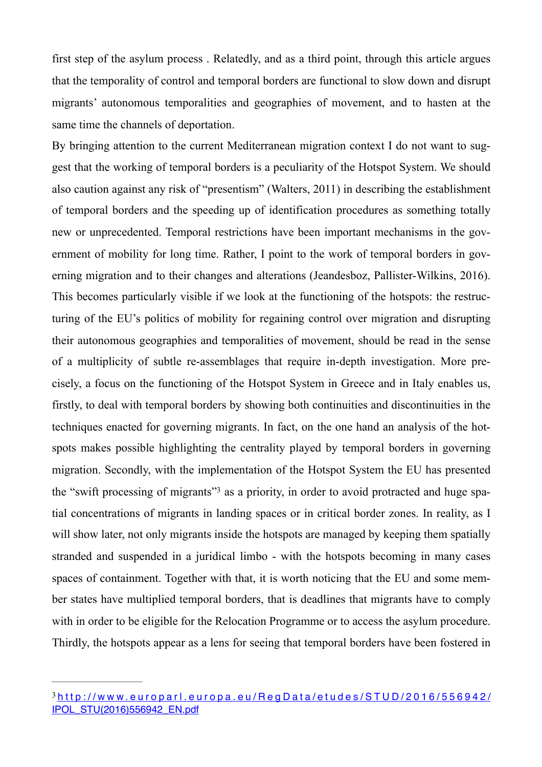first step of the asylum process . Relatedly, and as a third point, through this article argues that the temporality of control and temporal borders are functional to slow down and disrupt migrants' autonomous temporalities and geographies of movement, and to hasten at the same time the channels of deportation.

By bringing attention to the current Mediterranean migration context I do not want to suggest that the working of temporal borders is a peculiarity of the Hotspot System. We should also caution against any risk of "presentism" (Walters, 2011) in describing the establishment of temporal borders and the speeding up of identification procedures as something totally new or unprecedented. Temporal restrictions have been important mechanisms in the government of mobility for long time. Rather, I point to the work of temporal borders in governing migration and to their changes and alterations (Jeandesboz, Pallister-Wilkins, 2016). This becomes particularly visible if we look at the functioning of the hotspots: the restructuring of the EU's politics of mobility for regaining control over migration and disrupting their autonomous geographies and temporalities of movement, should be read in the sense of a multiplicity of subtle re-assemblages that require in-depth investigation. More precisely, a focus on the functioning of the Hotspot System in Greece and in Italy enables us, firstly, to deal with temporal borders by showing both continuities and discontinuities in the techniques enacted for governing migrants. In fact, on the one hand an analysis of the hotspots makes possible highlighting the centrality played by temporal borders in governing migration. Secondly, with the implementation of the Hotspot System the EU has presented the ["](#page-4-0)swift processing of migrants" as a priority, in order to avoid protracted and huge spatial concentrations of migrants in landing spaces or in critical border zones. In reality, as I will show later, not only migrants inside the hotspots are managed by keeping them spatially stranded and suspended in a juridical limbo - with the hotspots becoming in many cases spaces of containment. Together with that, it is worth noticing that the EU and some member states have multiplied temporal borders, that is deadlines that migrants have to comply with in order to be eligible for the Relocation Programme or to access the asylum procedure. Thirdly, the hotspots appear as a lens for seeing that temporal borders have been fostered in

<span id="page-4-1"></span><span id="page-4-0"></span>[http://www.europarl.europa.eu/RegData/etudes/STUD/2016/556942/](http://www.europarl.europa.eu/RegData/etudes/STUD/2016/556942/IPOL_STU(2016)556942_EN.pdf) [3](#page-4-1) [IPOL\\_STU\(2016\)556942\\_EN.pdf](http://www.europarl.europa.eu/RegData/etudes/STUD/2016/556942/IPOL_STU(2016)556942_EN.pdf)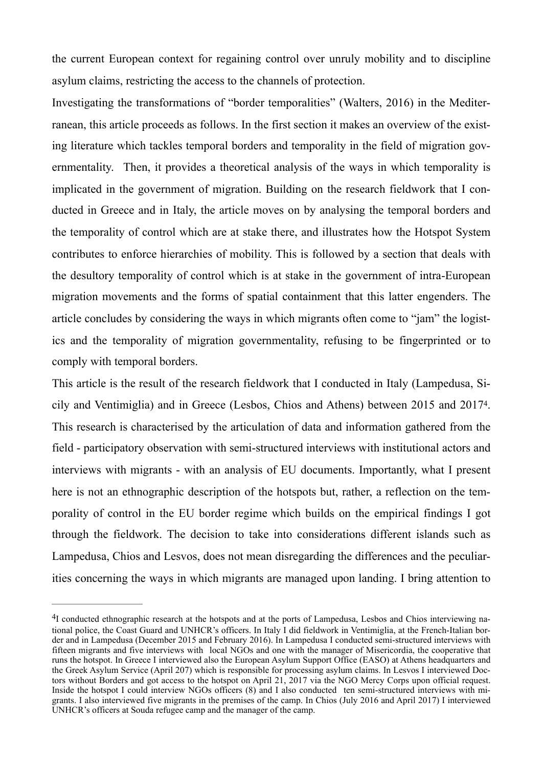the current European context for regaining control over unruly mobility and to discipline asylum claims, restricting the access to the channels of protection.

Investigating the transformations of "border temporalities" (Walters, 2016) in the Mediterranean, this article proceeds as follows. In the first section it makes an overview of the existing literature which tackles temporal borders and temporality in the field of migration governmentality. Then, it provides a theoretical analysis of the ways in which temporality is implicated in the government of migration. Building on the research fieldwork that I conducted in Greece and in Italy, the article moves on by analysing the temporal borders and the temporality of control which are at stake there, and illustrates how the Hotspot System contributes to enforce hierarchies of mobility. This is followed by a section that deals with the desultory temporality of control which is at stake in the government of intra-European migration movements and the forms of spatial containment that this latter engenders. The article concludes by considering the ways in which migrants often come to "jam" the logistics and the temporality of migration governmentality, refusing to be fingerprinted or to comply with temporal borders.

<span id="page-5-1"></span>This article is the result of the research fieldwork that I conducted in Italy (Lampedusa, Si-cily and Ventimiglia) and in Greece (Lesbos, Chios and Athens) between 2015 and 2017<sup>[4](#page-5-0)</sup>. This research is characterised by the articulation of data and information gathered from the field - participatory observation with semi-structured interviews with institutional actors and interviews with migrants - with an analysis of EU documents. Importantly, what I present here is not an ethnographic description of the hotspots but, rather, a reflection on the temporality of control in the EU border regime which builds on the empirical findings I got through the fieldwork. The decision to take into considerations different islands such as Lampedusa, Chios and Lesvos, does not mean disregarding the differences and the peculiarities concerning the ways in which migrants are managed upon landing. I bring attention to

<span id="page-5-0"></span><sup>&</sup>lt;sup>[4](#page-5-1)</sup>I conducted ethnographic research at the hotspots and at the ports of Lampedusa, Lesbos and Chios interviewing national police, the Coast Guard and UNHCR's officers. In Italy I did fieldwork in Ventimiglia, at the French-Italian border and in Lampedusa (December 2015 and February 2016). In Lampedusa I conducted semi-structured interviews with fifteen migrants and five interviews with local NGOs and one with the manager of Misericordia, the cooperative that runs the hotspot. In Greece I interviewed also the European Asylum Support Office (EASO) at Athens headquarters and the Greek Asylum Service (April 207) which is responsible for processing asylum claims. In Lesvos I interviewed Doctors without Borders and got access to the hotspot on April 21, 2017 via the NGO Mercy Corps upon official request. Inside the hotspot I could interview NGOs officers (8) and I also conducted ten semi-structured interviews with migrants. I also interviewed five migrants in the premises of the camp. In Chios (July 2016 and April 2017) I interviewed UNHCR's officers at Souda refugee camp and the manager of the camp.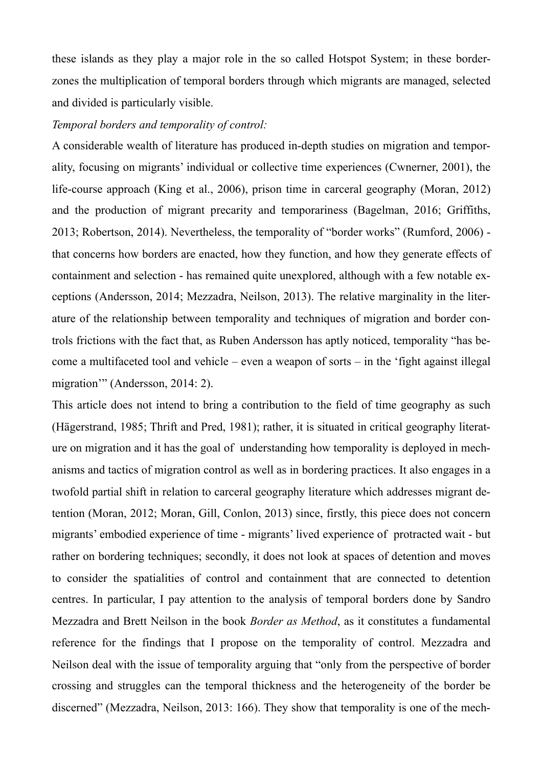these islands as they play a major role in the so called Hotspot System; in these borderzones the multiplication of temporal borders through which migrants are managed, selected and divided is particularly visible.

#### *Temporal borders and temporality of control:*

A considerable wealth of literature has produced in-depth studies on migration and temporality, focusing on migrants' individual or collective time experiences (Cwnerner, 2001), the life-course approach (King et al., 2006), prison time in carceral geography (Moran, 2012) and the production of migrant precarity and temporariness (Bagelman, 2016; Griffiths, 2013; Robertson, 2014). Nevertheless, the temporality of "border works" (Rumford, 2006) that concerns how borders are enacted, how they function, and how they generate effects of containment and selection - has remained quite unexplored, although with a few notable exceptions (Andersson, 2014; Mezzadra, Neilson, 2013). The relative marginality in the literature of the relationship between temporality and techniques of migration and border controls frictions with the fact that, as Ruben Andersson has aptly noticed, temporality "has become a multifaceted tool and vehicle – even a weapon of sorts – in the 'fight against illegal migration'" (Andersson, 2014: 2).

This article does not intend to bring a contribution to the field of time geography as such (Hägerstrand, 1985; Thrift and Pred, 1981); rather, it is situated in critical geography literature on migration and it has the goal of understanding how temporality is deployed in mechanisms and tactics of migration control as well as in bordering practices. It also engages in a twofold partial shift in relation to carceral geography literature which addresses migrant detention (Moran, 2012; Moran, Gill, Conlon, 2013) since, firstly, this piece does not concern migrants' embodied experience of time - migrants' lived experience of protracted wait - but rather on bordering techniques; secondly, it does not look at spaces of detention and moves to consider the spatialities of control and containment that are connected to detention centres. In particular, I pay attention to the analysis of temporal borders done by Sandro Mezzadra and Brett Neilson in the book *Border as Method*, as it constitutes a fundamental reference for the findings that I propose on the temporality of control. Mezzadra and Neilson deal with the issue of temporality arguing that "only from the perspective of border crossing and struggles can the temporal thickness and the heterogeneity of the border be discerned" (Mezzadra, Neilson, 2013: 166). They show that temporality is one of the mech-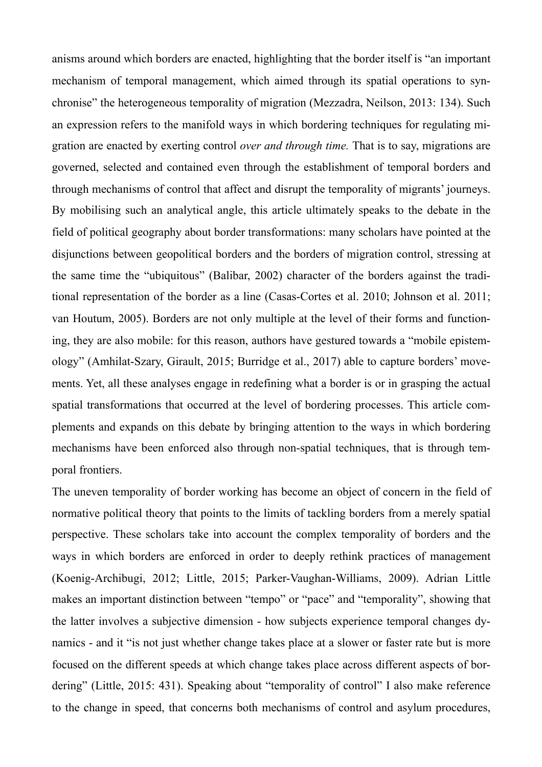anisms around which borders are enacted, highlighting that the border itself is "an important mechanism of temporal management, which aimed through its spatial operations to synchronise" the heterogeneous temporality of migration (Mezzadra, Neilson, 2013: 134). Such an expression refers to the manifold ways in which bordering techniques for regulating migration are enacted by exerting control *over and through time.* That is to say, migrations are governed, selected and contained even through the establishment of temporal borders and through mechanisms of control that affect and disrupt the temporality of migrants' journeys. By mobilising such an analytical angle, this article ultimately speaks to the debate in the field of political geography about border transformations: many scholars have pointed at the disjunctions between geopolitical borders and the borders of migration control, stressing at the same time the "ubiquitous" (Balibar, 2002) character of the borders against the traditional representation of the border as a line (Casas-Cortes et al. 2010; Johnson et al. 2011; van Houtum, 2005). Borders are not only multiple at the level of their forms and functioning, they are also mobile: for this reason, authors have gestured towards a "mobile epistemology" (Amhilat-Szary, Girault, 2015; Burridge et al., 2017) able to capture borders' movements. Yet, all these analyses engage in redefining what a border is or in grasping the actual spatial transformations that occurred at the level of bordering processes. This article complements and expands on this debate by bringing attention to the ways in which bordering mechanisms have been enforced also through non-spatial techniques, that is through temporal frontiers.

The uneven temporality of border working has become an object of concern in the field of normative political theory that points to the limits of tackling borders from a merely spatial perspective. These scholars take into account the complex temporality of borders and the ways in which borders are enforced in order to deeply rethink practices of management (Koenig-Archibugi, 2012; Little, 2015; Parker-Vaughan-Williams, 2009). Adrian Little makes an important distinction between "tempo" or "pace" and "temporality", showing that the latter involves a subjective dimension - how subjects experience temporal changes dynamics - and it "is not just whether change takes place at a slower or faster rate but is more focused on the different speeds at which change takes place across different aspects of bordering" (Little, 2015: 431). Speaking about "temporality of control" I also make reference to the change in speed, that concerns both mechanisms of control and asylum procedures,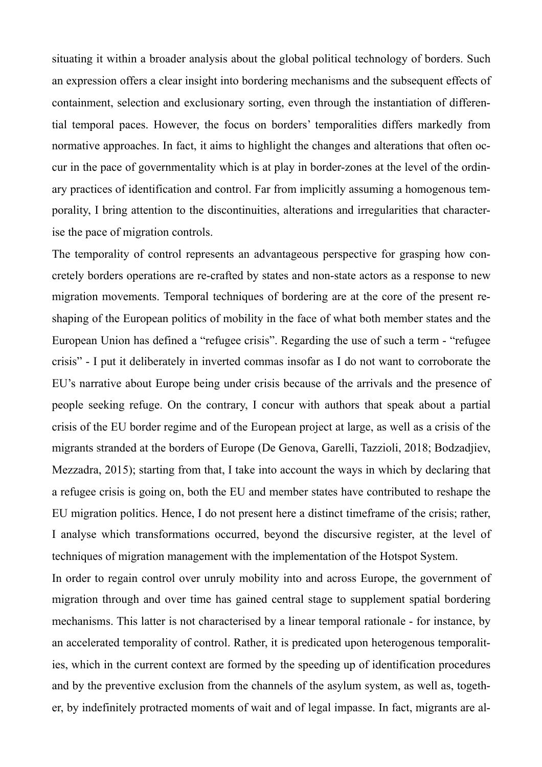situating it within a broader analysis about the global political technology of borders. Such an expression offers a clear insight into bordering mechanisms and the subsequent effects of containment, selection and exclusionary sorting, even through the instantiation of differential temporal paces. However, the focus on borders' temporalities differs markedly from normative approaches. In fact, it aims to highlight the changes and alterations that often occur in the pace of governmentality which is at play in border-zones at the level of the ordinary practices of identification and control. Far from implicitly assuming a homogenous temporality, I bring attention to the discontinuities, alterations and irregularities that characterise the pace of migration controls.

The temporality of control represents an advantageous perspective for grasping how concretely borders operations are re-crafted by states and non-state actors as a response to new migration movements. Temporal techniques of bordering are at the core of the present reshaping of the European politics of mobility in the face of what both member states and the European Union has defined a "refugee crisis". Regarding the use of such a term - "refugee crisis" - I put it deliberately in inverted commas insofar as I do not want to corroborate the EU's narrative about Europe being under crisis because of the arrivals and the presence of people seeking refuge. On the contrary, I concur with authors that speak about a partial crisis of the EU border regime and of the European project at large, as well as a crisis of the migrants stranded at the borders of Europe (De Genova, Garelli, Tazzioli, 2018; Bodzadjiev, Mezzadra, 2015); starting from that, I take into account the ways in which by declaring that a refugee crisis is going on, both the EU and member states have contributed to reshape the EU migration politics. Hence, I do not present here a distinct timeframe of the crisis; rather, I analyse which transformations occurred, beyond the discursive register, at the level of techniques of migration management with the implementation of the Hotspot System.

In order to regain control over unruly mobility into and across Europe, the government of migration through and over time has gained central stage to supplement spatial bordering mechanisms. This latter is not characterised by a linear temporal rationale - for instance, by an accelerated temporality of control. Rather, it is predicated upon heterogenous temporalities, which in the current context are formed by the speeding up of identification procedures and by the preventive exclusion from the channels of the asylum system, as well as, together, by indefinitely protracted moments of wait and of legal impasse. In fact, migrants are al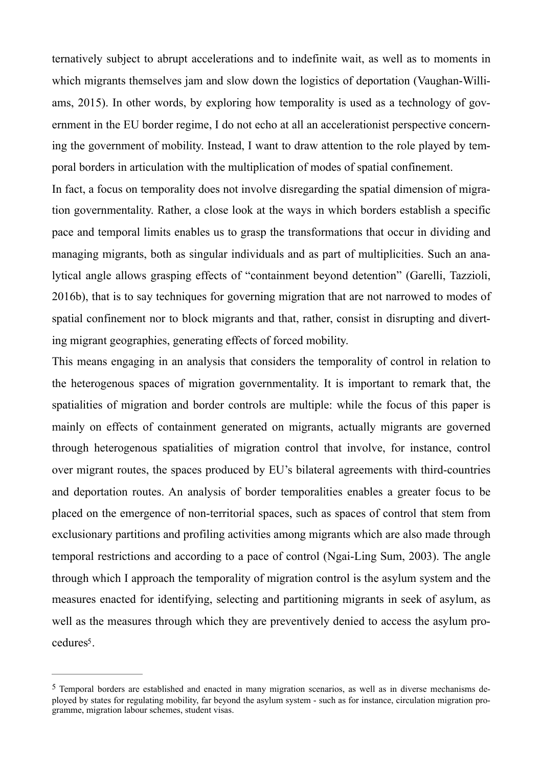ternatively subject to abrupt accelerations and to indefinite wait, as well as to moments in which migrants themselves jam and slow down the logistics of deportation (Vaughan-Williams, 2015). In other words, by exploring how temporality is used as a technology of government in the EU border regime, I do not echo at all an accelerationist perspective concerning the government of mobility. Instead, I want to draw attention to the role played by temporal borders in articulation with the multiplication of modes of spatial confinement.

In fact, a focus on temporality does not involve disregarding the spatial dimension of migration governmentality. Rather, a close look at the ways in which borders establish a specific pace and temporal limits enables us to grasp the transformations that occur in dividing and managing migrants, both as singular individuals and as part of multiplicities. Such an analytical angle allows grasping effects of "containment beyond detention" (Garelli, Tazzioli, 2016b), that is to say techniques for governing migration that are not narrowed to modes of spatial confinement nor to block migrants and that, rather, consist in disrupting and diverting migrant geographies, generating effects of forced mobility.

This means engaging in an analysis that considers the temporality of control in relation to the heterogenous spaces of migration governmentality. It is important to remark that, the spatialities of migration and border controls are multiple: while the focus of this paper is mainly on effects of containment generated on migrants, actually migrants are governed through heterogenous spatialities of migration control that involve, for instance, control over migrant routes, the spaces produced by EU's bilateral agreements with third-countries and deportation routes. An analysis of border temporalities enables a greater focus to be placed on the emergence of non-territorial spaces, such as spaces of control that stem from exclusionary partitions and profiling activities among migrants which are also made through temporal restrictions and according to a pace of control (Ngai-Ling Sum, 2003). The angle through which I approach the temporality of migration control is the asylum system and the measures enacted for identifying, selecting and partitioning migrants in seek of asylum, as well as the measures through which they are preventively denied to access the asylum pro-cedures<sup>[5](#page-9-0)</sup>.

<span id="page-9-1"></span><span id="page-9-0"></span> $5$  Temporal borders are established and enacted in many migration scenarios, as well as in diverse mechanisms deployed by states for regulating mobility, far beyond the asylum system - such as for instance, circulation migration programme, migration labour schemes, student visas.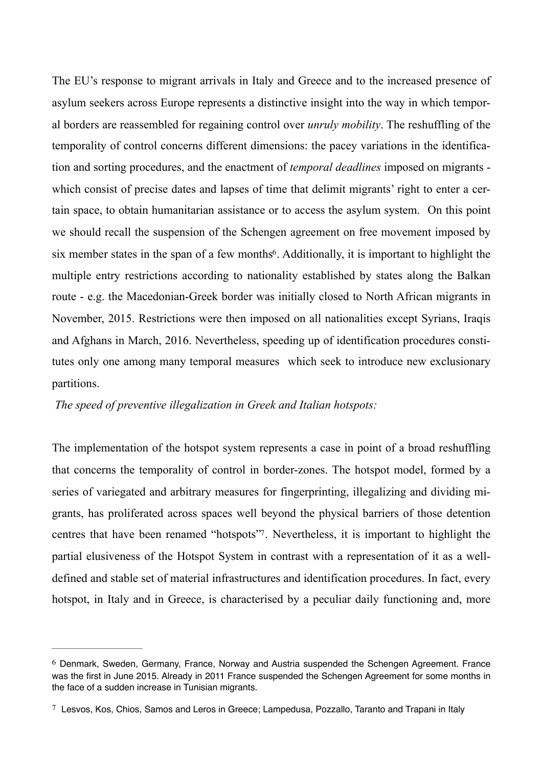The EU's response to migrant arrivals in Italy and Greece and to the increased presence of asylum seekers across Europe represents a distinctive insight into the way in which temporal borders are reassembled for regaining control over *unruly mobility*. The reshuffling of the temporality of control concerns different dimensions: the pacey variations in the identification and sorting procedures, and the enactment of *temporal deadlines* imposed on migrants which consist of precise dates and lapses of time that delimit migrants' right to enter a certain space, to obtain humanitarian assistance or to access the asylum system. On this point we should recall the suspension of the Schengen agreement on free movement imposed by six member states in the span of a few months<sup> $6$ </sup>[.](#page-10-0) Additionally, it is important to highlight the multiple entry restrictions according to nationality established by states along the Balkan route - e.g. the Macedonian-Greek border was initially closed to North African migrants in November, 2015. Restrictions were then imposed on all nationalities except Syrians, Iraqis and Afghans in March, 2016. Nevertheless, speeding up of identification procedures constitutes only one among many temporal measures which seek to introduce new exclusionary partitions.

# <span id="page-10-2"></span>*The speed of preventive illegalization in Greek and Italian hotspots:*

<span id="page-10-3"></span>The implementation of the hotspot system represents a case in point of a broad reshuffling that concerns the temporality of control in border-zones. The hotspot model, formed by a series of variegated and arbitrary measures for fingerprinting, illegalizing and dividing migrants, has proliferated across spaces well beyond the physical barriers of those detention centres that have been renamed "hotspots". Nevertheless, it is important to highlight the partial elusiveness of the Hotspot System in contrast with a representation of it as a welldefined and stable set of material infrastructures and identification procedures. In fact, every hotspot, in Italy and in Greece, is characterised by a peculiar daily functioning and, more

<span id="page-10-0"></span> $6$  Denmark, Sweden, Germany, France, Norway and Austria suspended the Schengen Agreement. France was the first in June 2015. Already in 2011 France suspended the Schengen Agreement for some months in the face of a sudden increase in Tunisian migrants.

<span id="page-10-1"></span>[<sup>7</sup>](#page-10-3) Lesvos, Kos, Chios, Samos and Leros in Greece; Lampedusa, Pozzallo, Taranto and Trapani in Italy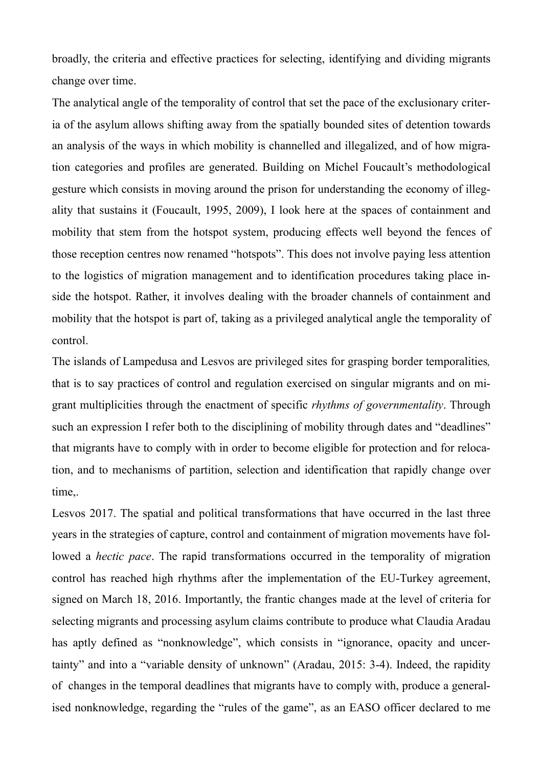broadly, the criteria and effective practices for selecting, identifying and dividing migrants change over time.

The analytical angle of the temporality of control that set the pace of the exclusionary criteria of the asylum allows shifting away from the spatially bounded sites of detention towards an analysis of the ways in which mobility is channelled and illegalized, and of how migration categories and profiles are generated. Building on Michel Foucault's methodological gesture which consists in moving around the prison for understanding the economy of illegality that sustains it (Foucault, 1995, 2009), I look here at the spaces of containment and mobility that stem from the hotspot system, producing effects well beyond the fences of those reception centres now renamed "hotspots". This does not involve paying less attention to the logistics of migration management and to identification procedures taking place inside the hotspot. Rather, it involves dealing with the broader channels of containment and mobility that the hotspot is part of, taking as a privileged analytical angle the temporality of control.

The islands of Lampedusa and Lesvos are privileged sites for grasping border temporalities*,* that is to say practices of control and regulation exercised on singular migrants and on migrant multiplicities through the enactment of specific *rhythms of governmentality*. Through such an expression I refer both to the disciplining of mobility through dates and "deadlines" that migrants have to comply with in order to become eligible for protection and for relocation, and to mechanisms of partition, selection and identification that rapidly change over time,.

Lesvos 2017. The spatial and political transformations that have occurred in the last three years in the strategies of capture, control and containment of migration movements have followed a *hectic pace*. The rapid transformations occurred in the temporality of migration control has reached high rhythms after the implementation of the EU-Turkey agreement, signed on March 18, 2016. Importantly, the frantic changes made at the level of criteria for selecting migrants and processing asylum claims contribute to produce what Claudia Aradau has aptly defined as "nonknowledge", which consists in "ignorance, opacity and uncertainty" and into a "variable density of unknown" (Aradau, 2015: 3-4). Indeed, the rapidity of changes in the temporal deadlines that migrants have to comply with, produce a generalised nonknowledge, regarding the "rules of the game", as an EASO officer declared to me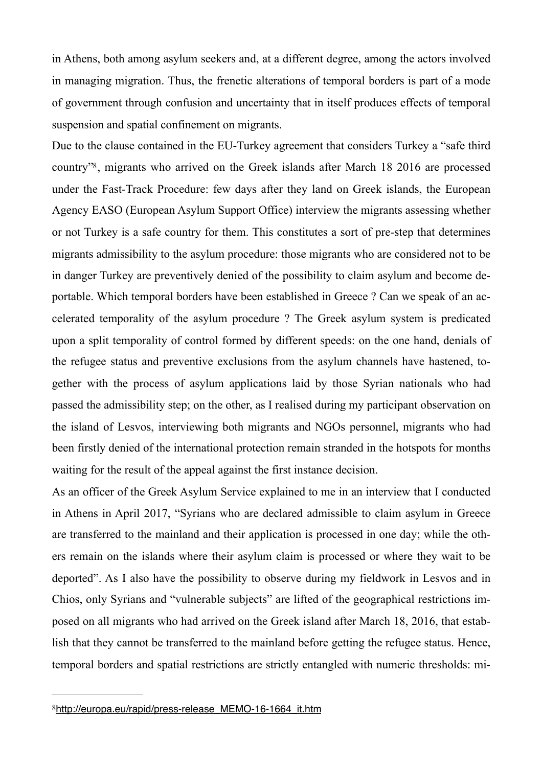in Athens, both among asylum seekers and, at a different degree, among the actors involved in managing migration. Thus, the frenetic alterations of temporal borders is part of a mode of government through confusion and uncertainty that in itself produces effects of temporal suspension and spatial confinement on migrants.

<span id="page-12-1"></span>Due to the clause contained in the EU-Turkey agreement that considers Turkey a "safe third country"<sup>[8](#page-12-0)</sup>, migrants who arrived on the Greek islands after March 18 2016 are processed under the Fast-Track Procedure: few days after they land on Greek islands, the European Agency EASO (European Asylum Support Office) interview the migrants assessing whether or not Turkey is a safe country for them. This constitutes a sort of pre-step that determines migrants admissibility to the asylum procedure: those migrants who are considered not to be in danger Turkey are preventively denied of the possibility to claim asylum and become deportable. Which temporal borders have been established in Greece ? Can we speak of an accelerated temporality of the asylum procedure ? The Greek asylum system is predicated upon a split temporality of control formed by different speeds: on the one hand, denials of the refugee status and preventive exclusions from the asylum channels have hastened, together with the process of asylum applications laid by those Syrian nationals who had passed the admissibility step; on the other, as I realised during my participant observation on the island of Lesvos, interviewing both migrants and NGOs personnel, migrants who had been firstly denied of the international protection remain stranded in the hotspots for months waiting for the result of the appeal against the first instance decision.

As an officer of the Greek Asylum Service explained to me in an interview that I conducted in Athens in April 2017, "Syrians who are declared admissible to claim asylum in Greece are transferred to the mainland and their application is processed in one day; while the others remain on the islands where their asylum claim is processed or where they wait to be deported". As I also have the possibility to observe during my fieldwork in Lesvos and in Chios, only Syrians and "vulnerable subjects" are lifted of the geographical restrictions imposed on all migrants who had arrived on the Greek island after March 18, 2016, that establish that they cannot be transferred to the mainland before getting the refugee status. Hence, temporal borders and spatial restrictions are strictly entangled with numeric thresholds: mi-

<span id="page-12-0"></span>[<sup>8</sup>](#page-12-1)[http://europa.eu/rapid/press-release\\_MEMO-16-1664\\_it.htm](http://europa.eu/rapid/press-release_MEMO-16-1664_it.htm)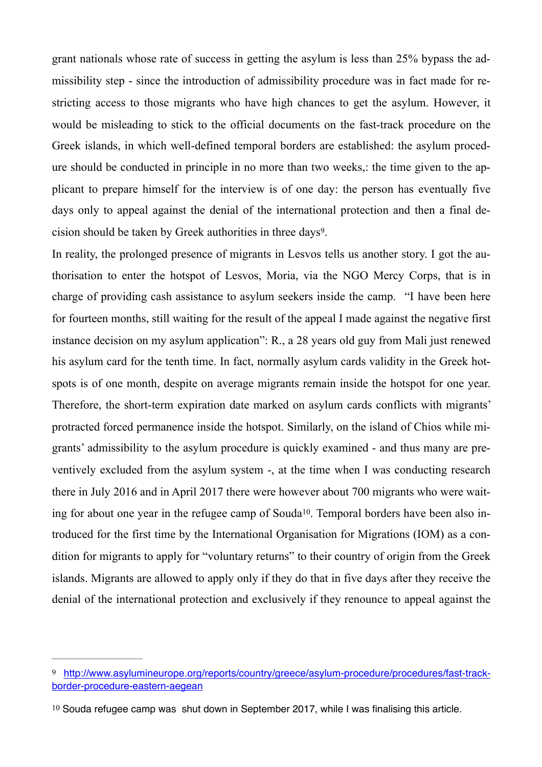grant nationals whose rate of success in getting the asylum is less than 25% bypass the admissibility step - since the introduction of admissibility procedure was in fact made for restricting access to those migrants who have high chances to get the asylum. However, it would be misleading to stick to the official documents on the fast-track procedure on the Greek islands, in which well-defined temporal borders are established: the asylum procedure should be conducted in principle in no more than two weeks,: the time given to the applicant to prepare himself for the interview is of one day: the person has eventually five days only to appeal against the denial of the international protection and then a final de-cision should be taken by Greek authorities in three days<sup>[9](#page-13-0)</sup>.

<span id="page-13-2"></span>In reality, the prolonged presence of migrants in Lesvos tells us another story. I got the authorisation to enter the hotspot of Lesvos, Moria, via the NGO Mercy Corps, that is in charge of providing cash assistance to asylum seekers inside the camp. "I have been here for fourteen months, still waiting for the result of the appeal I made against the negative first instance decision on my asylum application": R., a 28 years old guy from Mali just renewed his asylum card for the tenth time. In fact, normally asylum cards validity in the Greek hotspots is of one month, despite on average migrants remain inside the hotspot for one year. Therefore, the short-term expiration date marked on asylum cards conflicts with migrants' protracted forced permanence inside the hotspot. Similarly, on the island of Chios while migrants' admissibility to the asylum procedure is quickly examined - and thus many are preventively excluded from the asylum system -, at the time when I was conducting research there in July 2016 and in April 2017 there were however about 700 migrants who were wait-ing for about one year in the refugee camp of Souda<sup>[10](#page-13-1)</sup>. Temporal borders have been also introduced for the first time by the International Organisation for Migrations (IOM) as a condition for migrants to apply for "voluntary returns" to their country of origin from the Greek islands. Migrants are allowed to apply only if they do that in five days after they receive the denial of the international protection and exclusively if they renounce to appeal against the

<span id="page-13-3"></span><span id="page-13-0"></span>[<sup>9</sup>](#page-13-2) [http://www.asylumineurope.org/reports/country/greece/asylum-procedure/procedures/fast-track](http://www.asylumineurope.org/reports/country/greece/asylum-procedure/procedures/fast-track-border-procedure-eastern-aegean)[border-procedure-eastern-aegean](http://www.asylumineurope.org/reports/country/greece/asylum-procedure/procedures/fast-track-border-procedure-eastern-aegean)

<span id="page-13-1"></span>[<sup>10</sup>](#page-13-3) Souda refugee camp was shut down in September 2017, while I was finalising this article.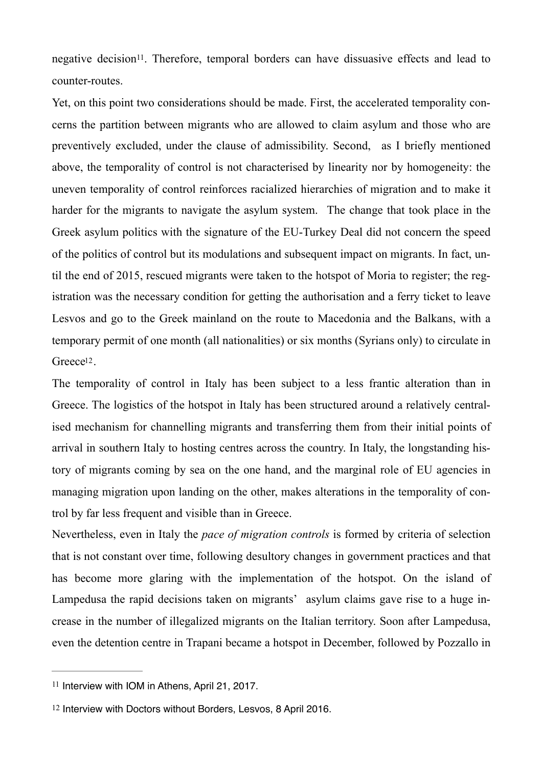<span id="page-14-2"></span>negative decision<sup>[11](#page-14-0)</sup>. Therefore, temporal borders can have dissuasive effects and lead to counter-routes.

Yet, on this point two considerations should be made. First, the accelerated temporality concerns the partition between migrants who are allowed to claim asylum and those who are preventively excluded, under the clause of admissibility. Second, as I briefly mentioned above, the temporality of control is not characterised by linearity nor by homogeneity: the uneven temporality of control reinforces racialized hierarchies of migration and to make it harder for the migrants to navigate the asylum system. The change that took place in the Greek asylum politics with the signature of the EU-Turkey Deal did not concern the speed of the politics of control but its modulations and subsequent impact on migrants. In fact, until the end of 2015, rescued migrants were taken to the hotspot of Moria to register; the registration was the necessary condition for getting the authorisation and a ferry ticket to leave Lesvos and go to the Greek mainland on the route to Macedonia and the Balkans, with a temporary permit of one month (all nationalities) or six months (Syrians only) to circulate in Greece<sup>[12](#page-14-1)</sup>.

<span id="page-14-3"></span>The temporality of control in Italy has been subject to a less frantic alteration than in Greece. The logistics of the hotspot in Italy has been structured around a relatively centralised mechanism for channelling migrants and transferring them from their initial points of arrival in southern Italy to hosting centres across the country. In Italy, the longstanding history of migrants coming by sea on the one hand, and the marginal role of EU agencies in managing migration upon landing on the other, makes alterations in the temporality of control by far less frequent and visible than in Greece.

Nevertheless, even in Italy the *pace of migration controls* is formed by criteria of selection that is not constant over time, following desultory changes in government practices and that has become more glaring with the implementation of the hotspot. On the island of Lampedusa the rapid decisions taken on migrants' asylum claims gave rise to a huge increase in the number of illegalized migrants on the Italian territory. Soon after Lampedusa, even the detention centre in Trapani became a hotspot in December, followed by Pozzallo in

<span id="page-14-0"></span> $11$  Interview with IOM in Athens, April 21, 2017.

<span id="page-14-1"></span>[<sup>12</sup>](#page-14-3) Interview with Doctors without Borders, Lesvos, 8 April 2016.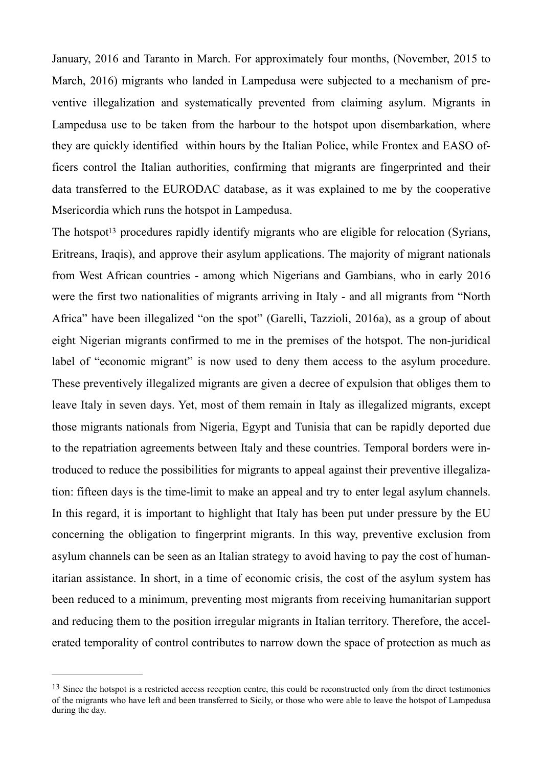January, 2016 and Taranto in March. For approximately four months, (November, 2015 to March, 2016) migrants who landed in Lampedusa were subjected to a mechanism of preventive illegalization and systematically prevented from claiming asylum. Migrants in Lampedusa use to be taken from the harbour to the hotspot upon disembarkation, where they are quickly identified within hours by the Italian Police, while Frontex and EASO officers control the Italian authorities, confirming that migrants are fingerprinted and their data transferred to the EURODAC database, as it was explained to me by the cooperative Msericordia which runs the hotspot in Lampedusa.

<span id="page-15-1"></span>The ho[t](#page-15-0)spot<sup>[13](#page-15-0)</sup> procedures rapidly identify migrants who are eligible for relocation (Syrians, Eritreans, Iraqis), and approve their asylum applications. The majority of migrant nationals from West African countries - among which Nigerians and Gambians, who in early 2016 were the first two nationalities of migrants arriving in Italy - and all migrants from "North Africa" have been illegalized "on the spot" (Garelli, Tazzioli, 2016a), as a group of about eight Nigerian migrants confirmed to me in the premises of the hotspot. The non-juridical label of "economic migrant" is now used to deny them access to the asylum procedure. These preventively illegalized migrants are given a decree of expulsion that obliges them to leave Italy in seven days. Yet, most of them remain in Italy as illegalized migrants, except those migrants nationals from Nigeria, Egypt and Tunisia that can be rapidly deported due to the repatriation agreements between Italy and these countries. Temporal borders were introduced to reduce the possibilities for migrants to appeal against their preventive illegalization: fifteen days is the time-limit to make an appeal and try to enter legal asylum channels. In this regard, it is important to highlight that Italy has been put under pressure by the EU concerning the obligation to fingerprint migrants. In this way, preventive exclusion from asylum channels can be seen as an Italian strategy to avoid having to pay the cost of humanitarian assistance. In short, in a time of economic crisis, the cost of the asylum system has been reduced to a minimum, preventing most migrants from receiving humanitarian support and reducing them to the position irregular migrants in Italian territory. Therefore, the accelerated temporality of control contributes to narrow down the space of protection as much as

<span id="page-15-0"></span><sup>&</sup>lt;sup>[13](#page-15-1)</sup> Since the hotspot is a restricted access reception centre, this could be reconstructed only from the direct testimonies of the migrants who have left and been transferred to Sicily, or those who were able to leave the hotspot of Lampedusa during the day.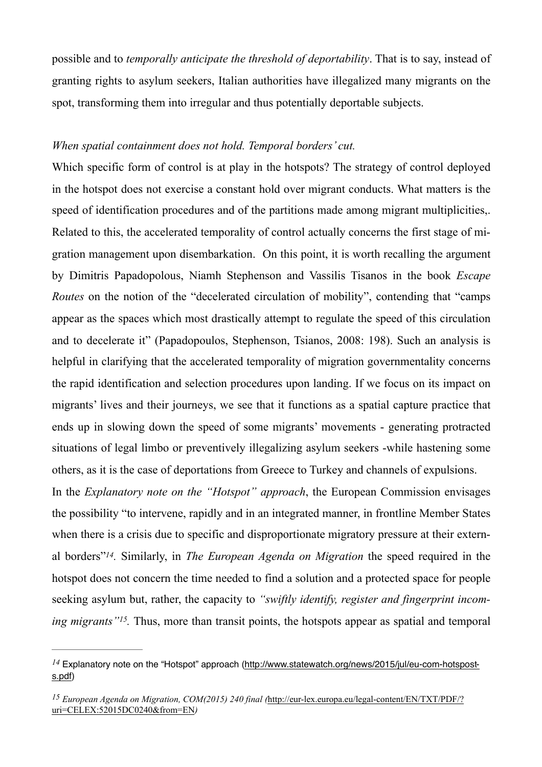possible and to *temporally anticipate the threshold of deportability*. That is to say, instead of granting rights to asylum seekers, Italian authorities have illegalized many migrants on the spot, transforming them into irregular and thus potentially deportable subjects.

# *When spatial containment does not hold. Temporal borders' cut.*

Which specific form of control is at play in the hotspots? The strategy of control deployed in the hotspot does not exercise a constant hold over migrant conducts. What matters is the speed of identification procedures and of the partitions made among migrant multiplicities,. Related to this, the accelerated temporality of control actually concerns the first stage of migration management upon disembarkation. On this point, it is worth recalling the argument by Dimitris Papadopolous, Niamh Stephenson and Vassilis Tisanos in the book *Escape Routes* on the notion of the "decelerated circulation of mobility", contending that "camps appear as the spaces which most drastically attempt to regulate the speed of this circulation and to decelerate it" (Papadopoulos, Stephenson, Tsianos, 2008: 198). Such an analysis is helpful in clarifying that the accelerated temporality of migration governmentality concerns the rapid identification and selection procedures upon landing. If we focus on its impact on migrants' lives and their journeys, we see that it functions as a spatial capture practice that ends up in slowing down the speed of some migrants' movements - generating protracted situations of legal limbo or preventively illegalizing asylum seekers -while hastening some others, as it is the case of deportations from Greece to Turkey and channels of expulsions.

<span id="page-16-2"></span>In the *Explanatory note on the "Hotspot" approach*, the European Commission envisages the possibility "to intervene, rapidly and in an integrated manner, in frontline Member States when there is a crisis due to specific and disproportionate migratory pressure at their extern-al borders"<sup>[14](#page-16-0)</sup>. Similarly, in *The European Agenda on Migration* the speed required in the hotspot does not concern the time needed to find a solution and a protected space for people seeking asylum but, rather, the capacity to *"swiftly identify, register and fingerprint incoming migrants*"<sup>*[15](#page-16-1)*</sup>. Thus, more than transit points, the hotspots appear as spatial and temporal

<span id="page-16-3"></span><span id="page-16-0"></span> $^{14}$  $^{14}$  $^{14}$  Explanatory note on the "Hotspot" approach [\(http://www.statewatch.org/news/2015/jul/eu-com-hotspost](http://www.statewatch.org/news/2015/jul/eu-com-hotsposts.pdf)[s.pdf](http://www.statewatch.org/news/2015/jul/eu-com-hotsposts.pdf))

<span id="page-16-1"></span>*European Agenda on Migration, COM(2015) 240 final (*[http://eur-lex.europa.eu/legal-content/EN/TXT/PDF/?](http://eur-lex.europa.eu/legal-content/EN/TXT/PDF/?uri=CELEX:52015DC0240&from=EN) *[15](#page-16-3)* [uri=CELEX:52015DC0240&from=EN](http://eur-lex.europa.eu/legal-content/EN/TXT/PDF/?uri=CELEX:52015DC0240&from=EN)*)*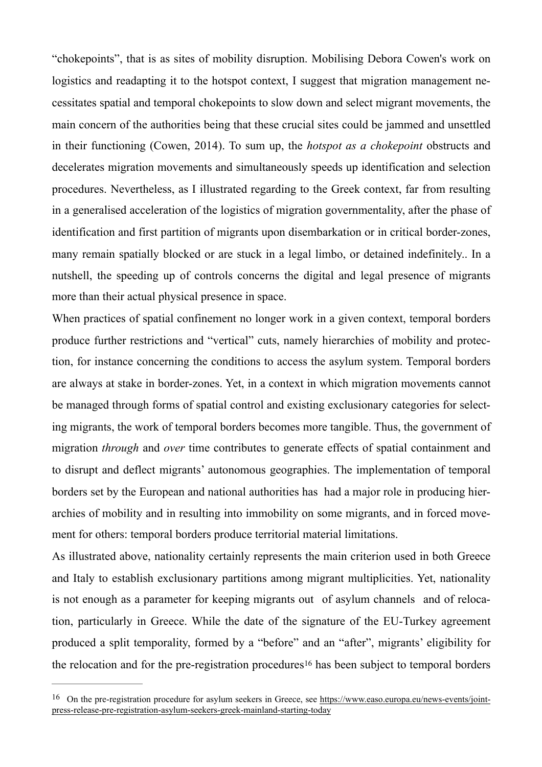"chokepoints", that is as sites of mobility disruption. Mobilising Debora Cowen's work on logistics and readapting it to the hotspot context, I suggest that migration management necessitates spatial and temporal chokepoints to slow down and select migrant movements, the main concern of the authorities being that these crucial sites could be jammed and unsettled in their functioning (Cowen, 2014). To sum up, the *hotspot as a chokepoint* obstructs and decelerates migration movements and simultaneously speeds up identification and selection procedures. Nevertheless, as I illustrated regarding to the Greek context, far from resulting in a generalised acceleration of the logistics of migration governmentality, after the phase of identification and first partition of migrants upon disembarkation or in critical border-zones, many remain spatially blocked or are stuck in a legal limbo, or detained indefinitely.. In a nutshell, the speeding up of controls concerns the digital and legal presence of migrants more than their actual physical presence in space.

When practices of spatial confinement no longer work in a given context, temporal borders produce further restrictions and "vertical" cuts, namely hierarchies of mobility and protection, for instance concerning the conditions to access the asylum system. Temporal borders are always at stake in border-zones. Yet, in a context in which migration movements cannot be managed through forms of spatial control and existing exclusionary categories for selecting migrants, the work of temporal borders becomes more tangible. Thus, the government of migration *through* and *over* time contributes to generate effects of spatial containment and to disrupt and deflect migrants' autonomous geographies. The implementation of temporal borders set by the European and national authorities has had a major role in producing hierarchies of mobility and in resulting into immobility on some migrants, and in forced movement for others: temporal borders produce territorial material limitations.

As illustrated above, nationality certainly represents the main criterion used in both Greece and Italy to establish exclusionary partitions among migrant multiplicities. Yet, nationality is not enough as a parameter for keeping migrants out of asylum channels and of relocation, particularly in Greece. While the date of the signature of the EU-Turkey agreement produced a split temporality, formed by a "before" and an "after", migrants' eligibility for the relocation and for the pre-registration procedures<sup>[16](#page-17-0)</sup> has been subject to temporal borders

<span id="page-17-1"></span><span id="page-17-0"></span><sup>&</sup>lt;sup>16</sup> On the pre-registration procedure for asylum seekers in Greece, see [https://www.easo.europa.eu/news-events/joint](https://www.easo.europa.eu/news-events/joint-press-release-pre-registration-asylum-seekers-greek-mainland-starting-today) [press-release-pre-registration-asylum-seekers-greek-mainland-starting-today](https://www.easo.europa.eu/news-events/joint-press-release-pre-registration-asylum-seekers-greek-mainland-starting-today)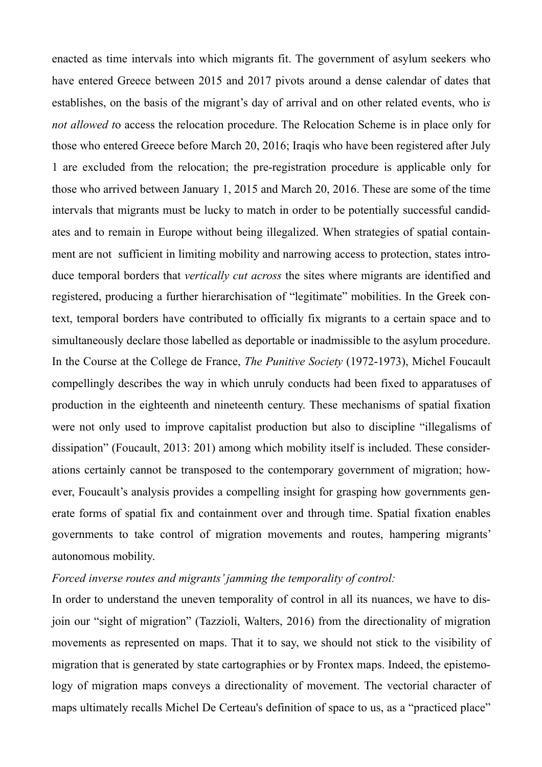enacted as time intervals into which migrants fit. The government of asylum seekers who have entered Greece between 2015 and 2017 pivots around a dense calendar of dates that establishes, on the basis of the migrant's day of arrival and on other related events, who i*s not allowed t*o access the relocation procedure. The Relocation Scheme is in place only for those who entered Greece before March 20, 2016; Iraqis who have been registered after July 1 are excluded from the relocation; the pre-registration procedure is applicable only for those who arrived between January 1, 2015 and March 20, 2016. These are some of the time intervals that migrants must be lucky to match in order to be potentially successful candidates and to remain in Europe without being illegalized. When strategies of spatial containment are not sufficient in limiting mobility and narrowing access to protection, states introduce temporal borders that *vertically cut across* the sites where migrants are identified and registered, producing a further hierarchisation of "legitimate" mobilities. In the Greek context, temporal borders have contributed to officially fix migrants to a certain space and to simultaneously declare those labelled as deportable or inadmissible to the asylum procedure. In the Course at the College de France, *The Punitive Society* (1972-1973), Michel Foucault compellingly describes the way in which unruly conducts had been fixed to apparatuses of production in the eighteenth and nineteenth century. These mechanisms of spatial fixation were not only used to improve capitalist production but also to discipline "illegalisms of dissipation" (Foucault, 2013: 201) among which mobility itself is included. These considerations certainly cannot be transposed to the contemporary government of migration; however, Foucault's analysis provides a compelling insight for grasping how governments generate forms of spatial fix and containment over and through time. Spatial fixation enables governments to take control of migration movements and routes, hampering migrants' autonomous mobility.

### *Forced inverse routes and migrants' jamming the temporality of control:*

In order to understand the uneven temporality of control in all its nuances, we have to disjoin our "sight of migration" (Tazzioli, Walters, 2016) from the directionality of migration movements as represented on maps. That it to say, we should not stick to the visibility of migration that is generated by state cartographies or by Frontex maps. Indeed, the epistemology of migration maps conveys a directionality of movement. The vectorial character of maps ultimately recalls Michel De Certeau's definition of space to us, as a "practiced place"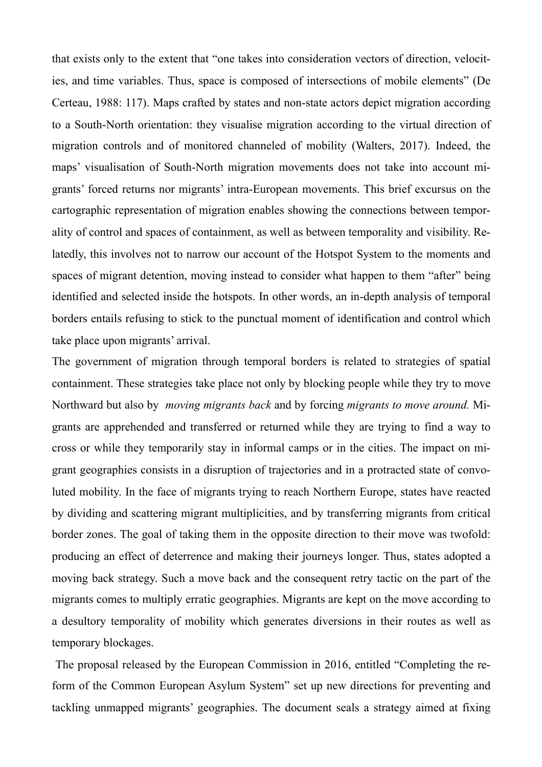that exists only to the extent that "one takes into consideration vectors of direction, velocities, and time variables. Thus, space is composed of intersections of mobile elements" (De Certeau, 1988: 117). Maps crafted by states and non-state actors depict migration according to a South-North orientation: they visualise migration according to the virtual direction of migration controls and of monitored channeled of mobility (Walters, 2017). Indeed, the maps' visualisation of South-North migration movements does not take into account migrants' forced returns nor migrants' intra-European movements. This brief excursus on the cartographic representation of migration enables showing the connections between temporality of control and spaces of containment, as well as between temporality and visibility. Relatedly, this involves not to narrow our account of the Hotspot System to the moments and spaces of migrant detention, moving instead to consider what happen to them "after" being identified and selected inside the hotspots. In other words, an in-depth analysis of temporal borders entails refusing to stick to the punctual moment of identification and control which take place upon migrants' arrival.

The government of migration through temporal borders is related to strategies of spatial containment. These strategies take place not only by blocking people while they try to move Northward but also by *moving migrants back* and by forcing *migrants to move around.* Migrants are apprehended and transferred or returned while they are trying to find a way to cross or while they temporarily stay in informal camps or in the cities. The impact on migrant geographies consists in a disruption of trajectories and in a protracted state of convoluted mobility. In the face of migrants trying to reach Northern Europe, states have reacted by dividing and scattering migrant multiplicities, and by transferring migrants from critical border zones. The goal of taking them in the opposite direction to their move was twofold: producing an effect of deterrence and making their journeys longer. Thus, states adopted a moving back strategy. Such a move back and the consequent retry tactic on the part of the migrants comes to multiply erratic geographies. Migrants are kept on the move according to a desultory temporality of mobility which generates diversions in their routes as well as temporary blockages.

 The proposal released by the European Commission in 2016, entitled "Completing the reform of the Common European Asylum System" set up new directions for preventing and tackling unmapped migrants' geographies. The document seals a strategy aimed at fixing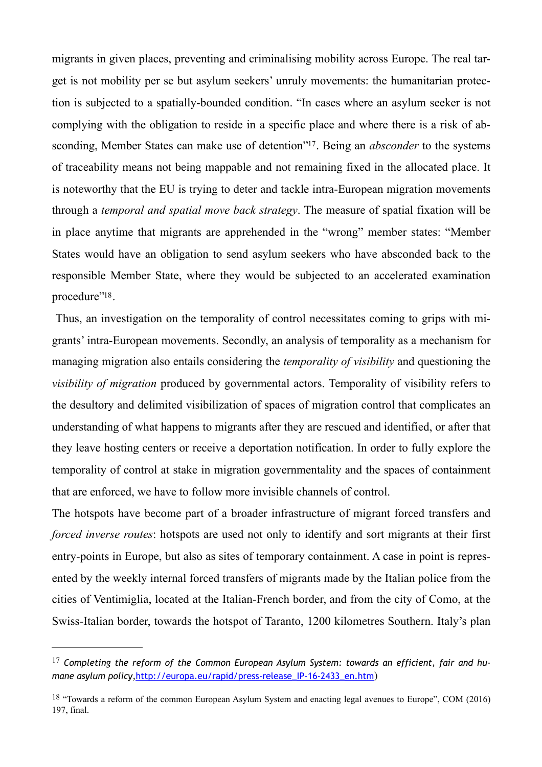<span id="page-20-2"></span>migrants in given places, preventing and criminalising mobility across Europe. The real target is not mobility per se but asylum seekers' unruly movements: the humanitarian protection is subjected to a spatially-bounded condition. "In cases where an asylum seeker is not complying with the obligation to reside in a specific place and where there is a risk of ab-sconding, Member States can make use of detention"<sup>[17](#page-20-0)</sup>. Being an *absconder* to the systems of traceability means not being mappable and not remaining fixed in the allocated place. It is noteworthy that the EU is trying to deter and tackle intra-European migration movements through a *temporal and spatial move back strategy*. The measure of spatial fixation will be in place anytime that migrants are apprehended in the "wrong" member states: "Member States would have an obligation to send asylum seekers who have absconded back to the responsible Member State, where they would be subjected to an accelerated examination procedure"<sup>[18](#page-20-1)</sup>.

<span id="page-20-3"></span> Thus, an investigation on the temporality of control necessitates coming to grips with migrants' intra-European movements. Secondly, an analysis of temporality as a mechanism for managing migration also entails considering the *temporality of visibility* and questioning the *visibility of migration* produced by governmental actors. Temporality of visibility refers to the desultory and delimited visibilization of spaces of migration control that complicates an understanding of what happens to migrants after they are rescued and identified, or after that they leave hosting centers or receive a deportation notification. In order to fully explore the temporality of control at stake in migration governmentality and the spaces of containment that are enforced, we have to follow more invisible channels of control.

The hotspots have become part of a broader infrastructure of migrant forced transfers and *forced inverse routes*: hotspots are used not only to identify and sort migrants at their first entry-points in Europe, but also as sites of temporary containment. A case in point is represented by the weekly internal forced transfers of migrants made by the Italian police from the cities of Ventimiglia, located at the Italian-French border, and from the city of Como, at the Swiss-Italian border, towards the hotspot of Taranto, 1200 kilometres Southern. Italy's plan

<span id="page-20-0"></span><sup>&</sup>lt;sup>[17](#page-20-2)</sup> Completing the reform of the Common European Asylum System: towards an efficient, fair and hu*mane asylum policy*, http://europa.eu/rapid/press-release\_IP-16-2433\_en.htm)

<span id="page-20-1"></span><sup>&</sup>lt;sup>[18](#page-20-3)</sup> "Towards a reform of the common European Asylum System and enacting legal avenues to Europe", COM (2016) 197, final.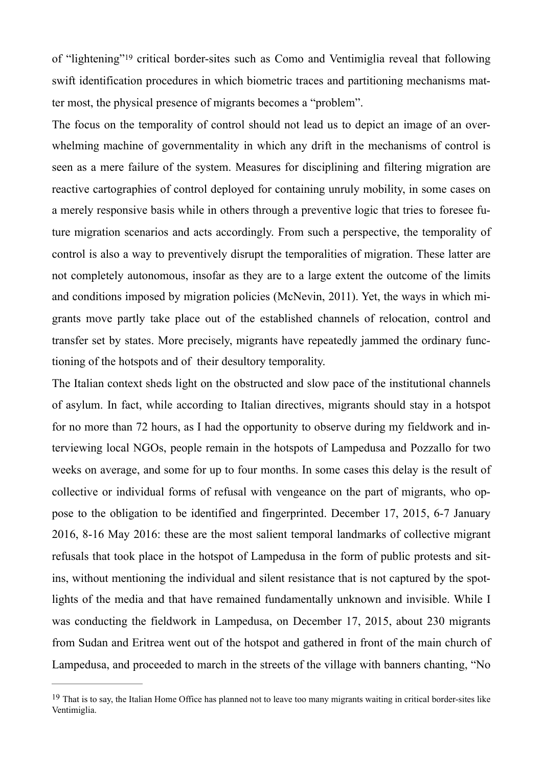<span id="page-21-1"></span>of "lightening"<sup>[19](#page-21-0)</sup> critical border-sites such as Como and Ventimiglia reveal that following swift identification procedures in which biometric traces and partitioning mechanisms matter most, the physical presence of migrants becomes a "problem".

The focus on the temporality of control should not lead us to depict an image of an overwhelming machine of governmentality in which any drift in the mechanisms of control is seen as a mere failure of the system. Measures for disciplining and filtering migration are reactive cartographies of control deployed for containing unruly mobility, in some cases on a merely responsive basis while in others through a preventive logic that tries to foresee future migration scenarios and acts accordingly. From such a perspective, the temporality of control is also a way to preventively disrupt the temporalities of migration. These latter are not completely autonomous, insofar as they are to a large extent the outcome of the limits and conditions imposed by migration policies (McNevin, 2011). Yet, the ways in which migrants move partly take place out of the established channels of relocation, control and transfer set by states. More precisely, migrants have repeatedly jammed the ordinary functioning of the hotspots and of their desultory temporality.

The Italian context sheds light on the obstructed and slow pace of the institutional channels of asylum. In fact, while according to Italian directives, migrants should stay in a hotspot for no more than 72 hours, as I had the opportunity to observe during my fieldwork and interviewing local NGOs, people remain in the hotspots of Lampedusa and Pozzallo for two weeks on average, and some for up to four months. In some cases this delay is the result of collective or individual forms of refusal with vengeance on the part of migrants, who oppose to the obligation to be identified and fingerprinted. December 17, 2015, 6-7 January 2016, 8-16 May 2016: these are the most salient temporal landmarks of collective migrant refusals that took place in the hotspot of Lampedusa in the form of public protests and sitins, without mentioning the individual and silent resistance that is not captured by the spotlights of the media and that have remained fundamentally unknown and invisible. While I was conducting the fieldwork in Lampedusa, on December 17, 2015, about 230 migrants from Sudan and Eritrea went out of the hotspot and gathered in front of the main church of Lampedusa, and proceeded to march in the streets of the village with banners chanting, "No

<span id="page-21-0"></span><sup>&</sup>lt;sup>[19](#page-21-1)</sup> That is to sav, the Italian Home Office has planned not to leave too many migrants waiting in critical border-sites like Ventimiglia.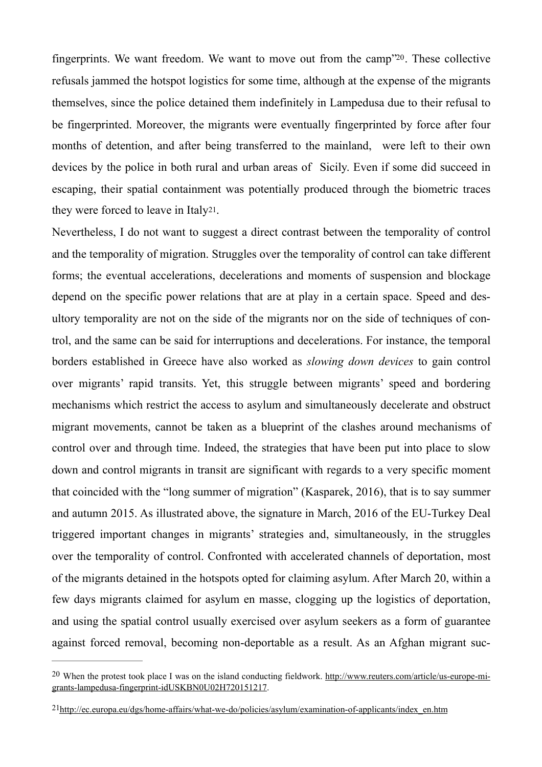<span id="page-22-2"></span>fingerprints. We want freedom. We want to move out from the camp<sup> $20$ </sup>. These collective refusals jammed the hotspot logistics for some time, although at the expense of the migrants themselves, since the police detained them indefinitely in Lampedusa due to their refusal to be fingerprinted. Moreover, the migrants were eventually fingerprinted by force after four months of detention, and after being transferred to the mainland, were left to their own devices by the police in both rural and urban areas of Sicily. Even if some did succeed in escaping, their spatial containment was potentially produced through the biometric traces they were forced to leave in Ital[y21](#page-22-1).

<span id="page-22-3"></span>Nevertheless, I do not want to suggest a direct contrast between the temporality of control and the temporality of migration. Struggles over the temporality of control can take different forms; the eventual accelerations, decelerations and moments of suspension and blockage depend on the specific power relations that are at play in a certain space. Speed and desultory temporality are not on the side of the migrants nor on the side of techniques of control, and the same can be said for interruptions and decelerations. For instance, the temporal borders established in Greece have also worked as *slowing down devices* to gain control over migrants' rapid transits. Yet, this struggle between migrants' speed and bordering mechanisms which restrict the access to asylum and simultaneously decelerate and obstruct migrant movements, cannot be taken as a blueprint of the clashes around mechanisms of control over and through time. Indeed, the strategies that have been put into place to slow down and control migrants in transit are significant with regards to a very specific moment that coincided with the "long summer of migration" (Kasparek, 2016), that is to say summer and autumn 2015. As illustrated above, the signature in March, 2016 of the EU-Turkey Deal triggered important changes in migrants' strategies and, simultaneously, in the struggles over the temporality of control. Confronted with accelerated channels of deportation, most of the migrants detained in the hotspots opted for claiming asylum. After March 20, within a few days migrants claimed for asylum en masse, clogging up the logistics of deportation, and using the spatial control usually exercised over asylum seekers as a form of guarantee against forced removal, becoming non-deportable as a result. As an Afghan migrant suc-

<span id="page-22-0"></span><sup>&</sup>lt;sup>20</sup> When the protest took place I was on the island conducting fieldwork. [http://www.reuters.com/article/us-europe-mi](http://www.reuters.com/article/us-europe-migrants-lampedusa-fingerprint-idUSKBN0U02H720151217)[grants-lampedusa-fingerprint-idUSKBN0U02H720151217](http://www.reuters.com/article/us-europe-migrants-lampedusa-fingerprint-idUSKBN0U02H720151217).

<span id="page-22-1"></span>[<sup>21</sup>](#page-22-3)[http://ec.europa.eu/dgs/home-affairs/what-we-do/policies/asylum/examination-of-applicants/index\\_en.htm](http://ec.europa.eu/dgs/home-affairs/what-we-do/policies/asylum/examination-of-applicants/index_en.htm)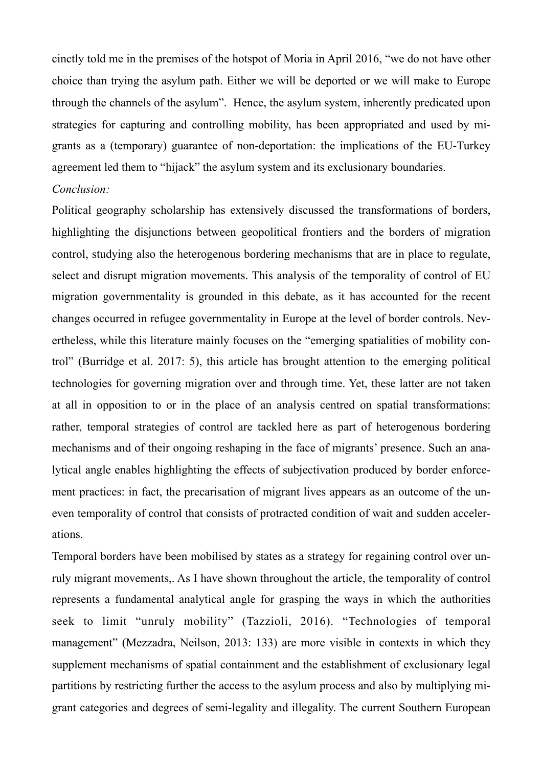cinctly told me in the premises of the hotspot of Moria in April 2016, "we do not have other choice than trying the asylum path. Either we will be deported or we will make to Europe through the channels of the asylum". Hence, the asylum system, inherently predicated upon strategies for capturing and controlling mobility, has been appropriated and used by migrants as a (temporary) guarantee of non-deportation: the implications of the EU-Turkey agreement led them to "hijack" the asylum system and its exclusionary boundaries.

# *Conclusion:*

Political geography scholarship has extensively discussed the transformations of borders, highlighting the disjunctions between geopolitical frontiers and the borders of migration control, studying also the heterogenous bordering mechanisms that are in place to regulate, select and disrupt migration movements. This analysis of the temporality of control of EU migration governmentality is grounded in this debate, as it has accounted for the recent changes occurred in refugee governmentality in Europe at the level of border controls. Nevertheless, while this literature mainly focuses on the "emerging spatialities of mobility control" (Burridge et al. 2017: 5), this article has brought attention to the emerging political technologies for governing migration over and through time. Yet, these latter are not taken at all in opposition to or in the place of an analysis centred on spatial transformations: rather, temporal strategies of control are tackled here as part of heterogenous bordering mechanisms and of their ongoing reshaping in the face of migrants' presence. Such an analytical angle enables highlighting the effects of subjectivation produced by border enforcement practices: in fact, the precarisation of migrant lives appears as an outcome of the uneven temporality of control that consists of protracted condition of wait and sudden accelerations.

Temporal borders have been mobilised by states as a strategy for regaining control over unruly migrant movements,. As I have shown throughout the article, the temporality of control represents a fundamental analytical angle for grasping the ways in which the authorities seek to limit "unruly mobility" (Tazzioli, 2016). "Technologies of temporal management" (Mezzadra, Neilson, 2013: 133) are more visible in contexts in which they supplement mechanisms of spatial containment and the establishment of exclusionary legal partitions by restricting further the access to the asylum process and also by multiplying migrant categories and degrees of semi-legality and illegality. The current Southern European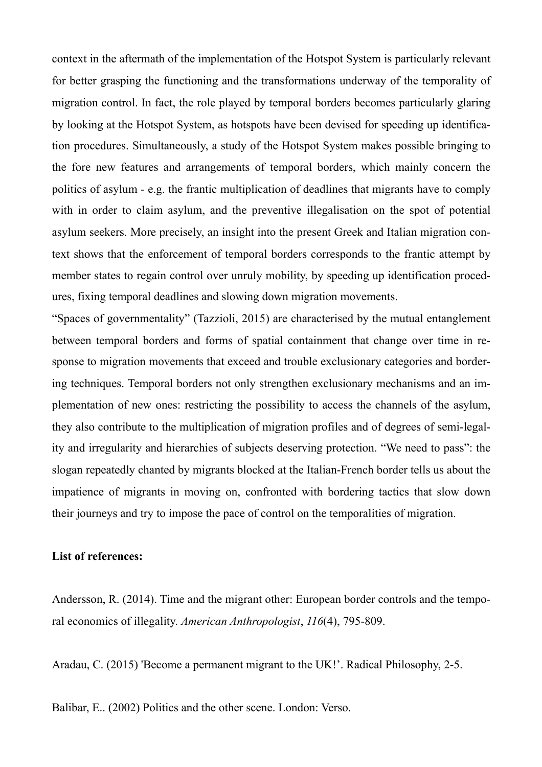context in the aftermath of the implementation of the Hotspot System is particularly relevant for better grasping the functioning and the transformations underway of the temporality of migration control. In fact, the role played by temporal borders becomes particularly glaring by looking at the Hotspot System, as hotspots have been devised for speeding up identification procedures. Simultaneously, a study of the Hotspot System makes possible bringing to the fore new features and arrangements of temporal borders, which mainly concern the politics of asylum - e.g. the frantic multiplication of deadlines that migrants have to comply with in order to claim asylum, and the preventive illegalisation on the spot of potential asylum seekers. More precisely, an insight into the present Greek and Italian migration context shows that the enforcement of temporal borders corresponds to the frantic attempt by member states to regain control over unruly mobility, by speeding up identification procedures, fixing temporal deadlines and slowing down migration movements.

"Spaces of governmentality" (Tazzioli, 2015) are characterised by the mutual entanglement between temporal borders and forms of spatial containment that change over time in response to migration movements that exceed and trouble exclusionary categories and bordering techniques. Temporal borders not only strengthen exclusionary mechanisms and an implementation of new ones: restricting the possibility to access the channels of the asylum, they also contribute to the multiplication of migration profiles and of degrees of semi-legality and irregularity and hierarchies of subjects deserving protection. "We need to pass": the slogan repeatedly chanted by migrants blocked at the Italian-French border tells us about the impatience of migrants in moving on, confronted with bordering tactics that slow down their journeys and try to impose the pace of control on the temporalities of migration.

#### **List of references:**

Andersson, R. (2014). Time and the migrant other: European border controls and the temporal economics of illegality. *American Anthropologist*, *116*(4), 795-809.

Aradau, C. (2015) 'Become a permanent migrant to the UK!'. Radical Philosophy, 2-5.

Balibar, E.. (2002) Politics and the other scene. London: Verso.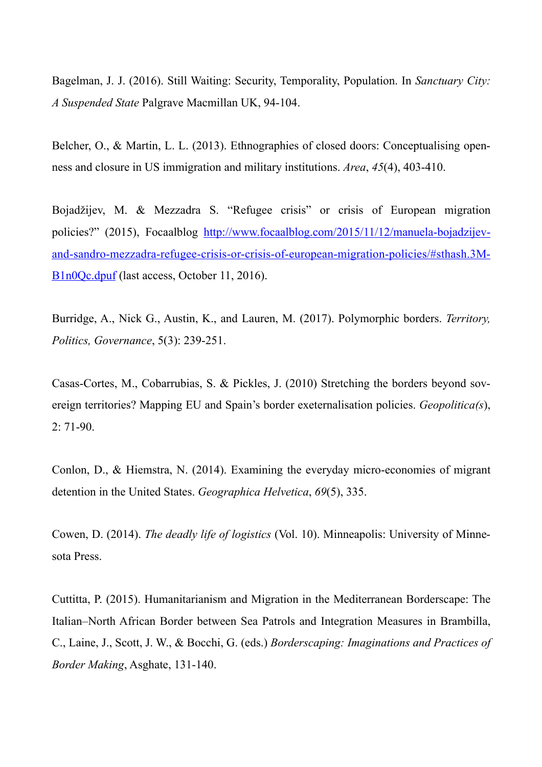Bagelman, J. J. (2016). Still Waiting: Security, Temporality, Population. In *Sanctuary City: A Suspended State* Palgrave Macmillan UK, 94-104.

Belcher, O., & Martin, L. L. (2013). Ethnographies of closed doors: Conceptualising openness and closure in US immigration and military institutions. *Area*, *45*(4), 403-410.

Bojadžijev, M. & Mezzadra S. "Refugee crisis" or crisis of European migration policies?" (2015), Focaalblog [http://www.focaalblog.com/2015/11/12/manuela-bojadzijev](http://www.focaalblog.com/2015/11/12/manuela-bojadzijev-and-sandro-mezzadra-refugee-crisis-or-crisis-of-european-migration-policies/%2525252523sthash.3MB1n0Qc.dpuf)[and-sandro-mezzadra-refugee-crisis-or-crisis-of-european-migration-policies/#sthash.3M](http://www.focaalblog.com/2015/11/12/manuela-bojadzijev-and-sandro-mezzadra-refugee-crisis-or-crisis-of-european-migration-policies/%2525252523sthash.3MB1n0Qc.dpuf)-[B1n0Qc.dpuf](http://www.focaalblog.com/2015/11/12/manuela-bojadzijev-and-sandro-mezzadra-refugee-crisis-or-crisis-of-european-migration-policies/%2525252523sthash.3MB1n0Qc.dpuf) (last access, October 11, 2016).

Burridge, A., Nick G., Austin, K., and Lauren, M. (2017). Polymorphic borders. *Territory, Politics, Governance*, 5(3): 239-251.

Casas-Cortes, M., Cobarrubias, S. & Pickles, J. (2010) Stretching the borders beyond sovereign territories? Mapping EU and Spain's border exeternalisation policies. *Geopolitica(s*),  $2: 71-90.$ 

Conlon, D., & Hiemstra, N. (2014). Examining the everyday micro-economies of migrant detention in the United States. *Geographica Helvetica*, *69*(5), 335.

Cowen, D. (2014). *The deadly life of logistics* (Vol. 10). Minneapolis: University of Minnesota Press.

Cuttitta, P. (2015). Humanitarianism and Migration in the Mediterranean Borderscape: The Italian–North African Border between Sea Patrols and Integration Measures in Brambilla, C., Laine, J., Scott, J. W., & Bocchi, G. (eds.) *Borderscaping: Imaginations and Practices of Border Making*, Asghate, 131-140.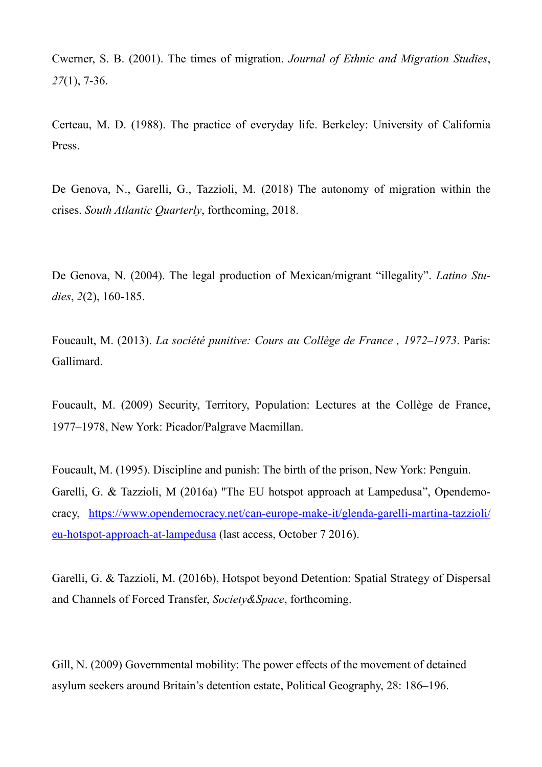Cwerner, S. B. (2001). The times of migration. *Journal of Ethnic and Migration Studies*, *27*(1), 7-36.

Certeau, M. D. (1988). The practice of everyday life. Berkeley: University of California Press.

De Genova, N., Garelli, G., Tazzioli, M. (2018) The autonomy of migration within the crises. *South Atlantic Quarterly*, forthcoming, 2018.

De Genova, N. (2004). The legal production of Mexican/migrant "illegality". *Latino Studies*, *2*(2), 160-185.

Foucault, M. (2013). *La société punitive: Cours au Collège de France , 1972–1973*. Paris: Gallimard.

Foucault, M. (2009) Security, Territory, Population: Lectures at the Collège de France, 1977–1978, New York: Picador/Palgrave Macmillan.

Foucault, M. (1995). Discipline and punish: The birth of the prison, New York: Penguin. Garelli, G. & Tazzioli, M (2016a) "The EU hotspot approach at Lampedusa", Opendemocracy, [https://www.opendemocracy.net/can-europe-make-it/glenda-garelli-martina-tazzioli/](https://www.opendemocracy.net/can-europe-make-it/glenda-garelli-martina-tazzioli/eu-hotspot-approach-at-lampedusa) [eu-hotspot-approach-at-lampedusa](https://www.opendemocracy.net/can-europe-make-it/glenda-garelli-martina-tazzioli/eu-hotspot-approach-at-lampedusa) (last access, October 7 2016).

Garelli, G. & Tazzioli, M. (2016b), Hotspot beyond Detention: Spatial Strategy of Dispersal and Channels of Forced Transfer, *Society&Space*, forthcoming.

Gill, N. (2009) Governmental mobility: The power effects of the movement of detained asylum seekers around Britain's detention estate, Political Geography, 28: 186–196.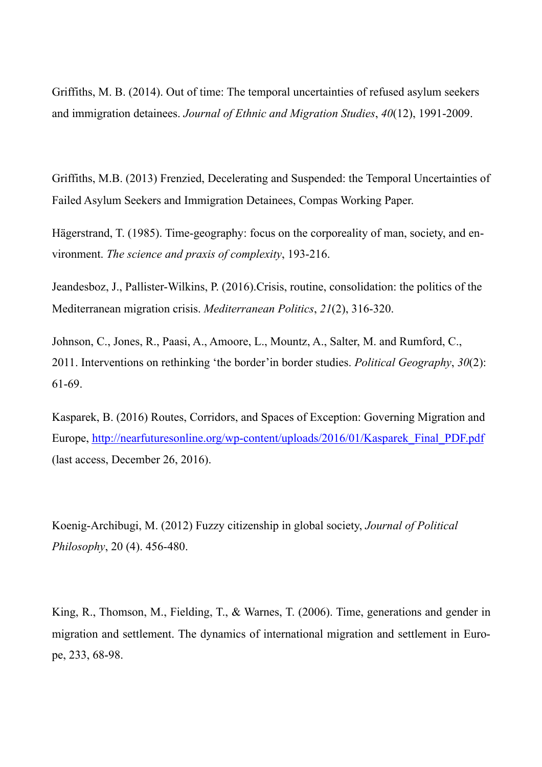Griffiths, M. B. (2014). Out of time: The temporal uncertainties of refused asylum seekers and immigration detainees. *Journal of Ethnic and Migration Studies*, *40*(12), 1991-2009.

Griffiths, M.B. (2013) Frenzied, Decelerating and Suspended: the Temporal Uncertainties of Failed Asylum Seekers and Immigration Detainees, Compas Working Paper.

Hägerstrand, T. (1985). Time-geography: focus on the corporeality of man, society, and environment. *The science and praxis of complexity*, 193-216.

Jeandesboz, J., Pallister-Wilkins, P. (2016).Crisis, routine, consolidation: the politics of the Mediterranean migration crisis. *Mediterranean Politics*, *21*(2), 316-320.

Johnson, C., Jones, R., Paasi, A., Amoore, L., Mountz, A., Salter, M. and Rumford, C., 2011. Interventions on rethinking 'the border'in border studies. *Political Geography*, *30*(2): 61-69.

Kasparek, B. (2016) Routes, Corridors, and Spaces of Exception: Governing Migration and Europe, [http://nearfuturesonline.org/wp-content/uploads/2016/01/Kasparek\\_Final\\_PDF.pdf](http://nearfuturesonline.org/wp-content/uploads/2016/01/Kasparek_Final_PDF.pdf) (last access, December 26, 2016).

Koenig-Archibugi, M. (2012) Fuzzy citizenship in global society, *Journal of Political Philosophy*, 20 (4). 456-480.

King, R., Thomson, M., Fielding, T., & Warnes, T. (2006). Time, generations and gender in migration and settlement. The dynamics of international migration and settlement in Europe, 233, 68-98.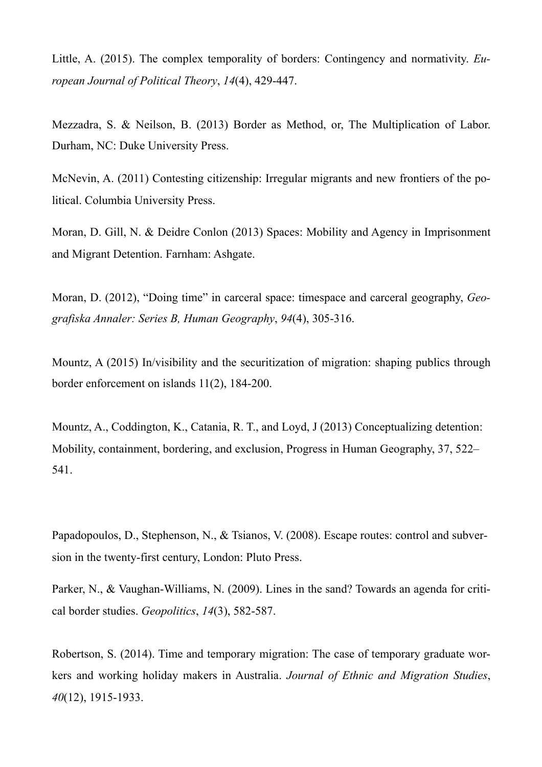Little, A. (2015). The complex temporality of borders: Contingency and normativity. *European Journal of Political Theory*, *14*(4), 429-447.

Mezzadra, S. & Neilson, B. (2013) Border as Method, or, The Multiplication of Labor. Durham, NC: Duke University Press.

McNevin, A. (2011) Contesting citizenship: Irregular migrants and new frontiers of the political. Columbia University Press.

Moran, D. Gill, N. & Deidre Conlon (2013) Spaces: Mobility and Agency in Imprisonment and Migrant Detention. Farnham: Ashgate.

Moran, D. (2012), "Doing time" in carceral space: timespace and carceral geography, *Geografiska Annaler: Series B, Human Geography*, *94*(4), 305-316.

Mountz, A (2015) In/visibility and the securitization of migration: shaping publics through border enforcement on islands 11(2), 184-200.

Mountz, A., Coddington, K., Catania, R. T., and Loyd, J (2013) Conceptualizing detention: Mobility, containment, bordering, and exclusion, Progress in Human Geography, 37, 522– 541.

Papadopoulos, D., Stephenson, N., & Tsianos, V. (2008). Escape routes: control and subversion in the twenty-first century, London: Pluto Press.

Parker, N., & Vaughan-Williams, N. (2009). Lines in the sand? Towards an agenda for critical border studies. *Geopolitics*, *14*(3), 582-587.

Robertson, S. (2014). Time and temporary migration: The case of temporary graduate workers and working holiday makers in Australia. *Journal of Ethnic and Migration Studies*, *40*(12), 1915-1933.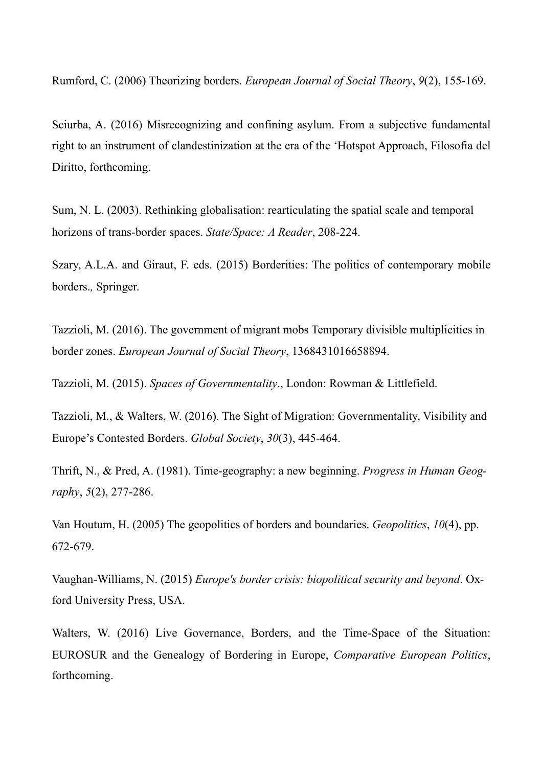Rumford, C. (2006) Theorizing borders. *European Journal of Social Theory*, *9*(2), 155-169.

Sciurba, A. (2016) Misrecognizing and confining asylum. From a subjective fundamental right to an instrument of clandestinization at the era of the 'Hotspot Approach, Filosofia del Diritto, forthcoming.

Sum, N. L. (2003). Rethinking globalisation: rearticulating the spatial scale and temporal horizons of trans-border spaces. *State/Space: A Reader*, 208-224.

Szary, A.L.A. and Giraut, F. eds. (2015) Borderities: The politics of contemporary mobile borders.*,* Springer.

Tazzioli, M. (2016). The government of migrant mobs Temporary divisible multiplicities in border zones. *European Journal of Social Theory*, 1368431016658894.

Tazzioli, M. (2015). *Spaces of Governmentality*., London: Rowman & Littlefield.

Tazzioli, M., & Walters, W. (2016). The Sight of Migration: Governmentality, Visibility and Europe's Contested Borders. *Global Society*, *30*(3), 445-464.

Thrift, N., & Pred, A. (1981). Time-geography: a new beginning. *Progress in Human Geography*, *5*(2), 277-286.

Van Houtum, H. (2005) The geopolitics of borders and boundaries. *Geopolitics*, *10*(4), pp. 672-679.

Vaughan-Williams, N. (2015) *Europe's border crisis: biopolitical security and beyond*. Oxford University Press, USA.

Walters, W. (2016) Live Governance, Borders, and the Time-Space of the Situation: EUROSUR and the Genealogy of Bordering in Europe, *Comparative European Politics*, forthcoming.